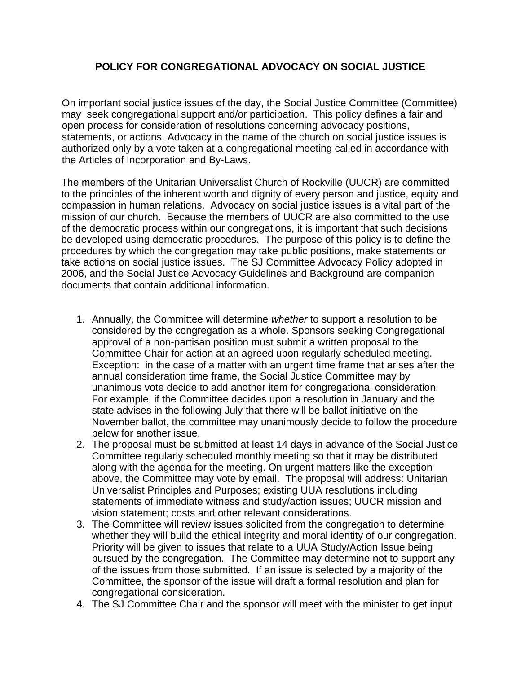## **POLICY FOR CONGREGATIONAL ADVOCACY ON SOCIAL JUSTICE**

On important social justice issues of the day, the Social Justice Committee (Committee) may seek congregational support and/or participation. This policy defines a fair and open process for consideration of resolutions concerning advocacy positions, statements, or actions. Advocacy in the name of the church on social justice issues is authorized only by a vote taken at a congregational meeting called in accordance with the Articles of Incorporation and By-Laws.

The members of the Unitarian Universalist Church of Rockville (UUCR) are committed to the principles of the inherent worth and dignity of every person and justice, equity and compassion in human relations. Advocacy on social justice issues is a vital part of the mission of our church. Because the members of UUCR are also committed to the use of the democratic process within our congregations, it is important that such decisions be developed using democratic procedures. The purpose of this policy is to define the procedures by which the congregation may take public positions, make statements or take actions on social justice issues. The SJ Committee Advocacy Policy adopted in 2006, and the Social Justice Advocacy Guidelines and Background are companion documents that contain additional information.

- 1. Annually, the Committee will determine *whether* to support a resolution to be considered by the congregation as a whole. Sponsors seeking Congregational approval of a non-partisan position must submit a written proposal to the Committee Chair for action at an agreed upon regularly scheduled meeting. Exception: in the case of a matter with an urgent time frame that arises after the annual consideration time frame, the Social Justice Committee may by unanimous vote decide to add another item for congregational consideration. For example, if the Committee decides upon a resolution in January and the state advises in the following July that there will be ballot initiative on the November ballot, the committee may unanimously decide to follow the procedure below for another issue.
- 2. The proposal must be submitted at least 14 days in advance of the Social Justice Committee regularly scheduled monthly meeting so that it may be distributed along with the agenda for the meeting. On urgent matters like the exception above, the Committee may vote by email. The proposal will address: Unitarian Universalist Principles and Purposes; existing UUA resolutions including statements of immediate witness and study/action issues; UUCR mission and vision statement; costs and other relevant considerations.
- 3. The Committee will review issues solicited from the congregation to determine whether they will build the ethical integrity and moral identity of our congregation. Priority will be given to issues that relate to a UUA Study/Action Issue being pursued by the congregation. The Committee may determine not to support any of the issues from those submitted. If an issue is selected by a majority of the Committee, the sponsor of the issue will draft a formal resolution and plan for congregational consideration.
- 4. The SJ Committee Chair and the sponsor will meet with the minister to get input